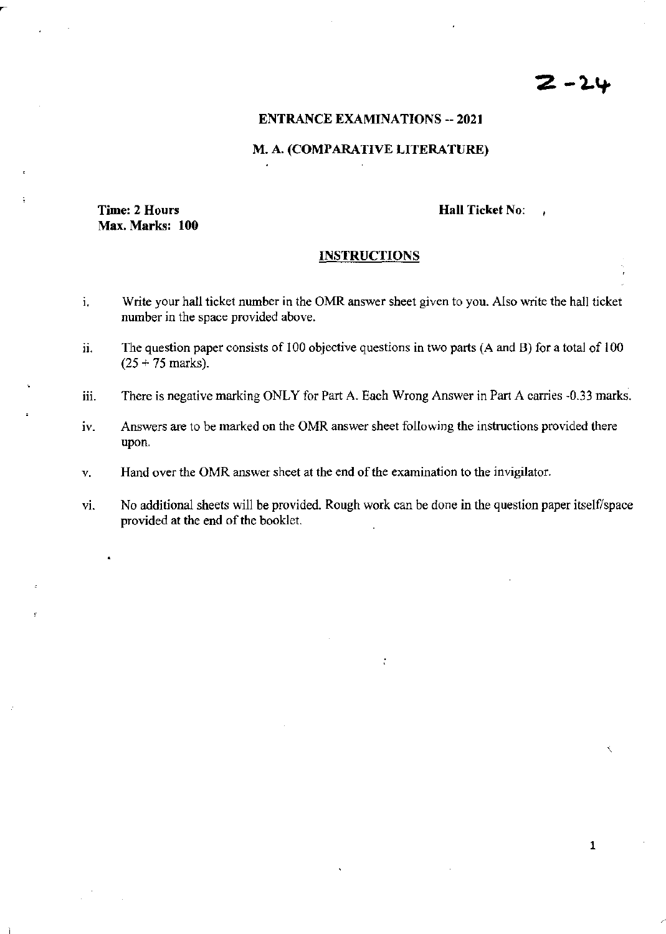# 2 -24

## ENTRANCE EXAMINATIONS -- 2021

#### M\_ A. (COMPARATIVE LITERATURE)

# Time: 2 Hours Max. Marks: 100

#### Hall Ticket No:

 $\lambda$ 

#### **INSTRUCTIONS**

- i. Write your hall ticket number in the OMR answer sheet given to you. Also write the hall ticket number in the space provided above.
- ii. The question paper consists of 100 objective questions in two parts (A and B) for a total of 100  $(25 + 75$  marks).
- iii. There is negative marking ONLY for Part A. Each Wrong Answer in Part A carries -0.33 marks.
- iv. Answers are to be marked on the OMR answer sheet following the instructions provided there upon.
- V. Hand over the OMR answer sheet at the end of the examination to the invigilator.
- vi. No additional sheets will be provided. Rough work can be done in the question paper itself/space provided at the end of the booklet.

 $\ddot{\cdot}$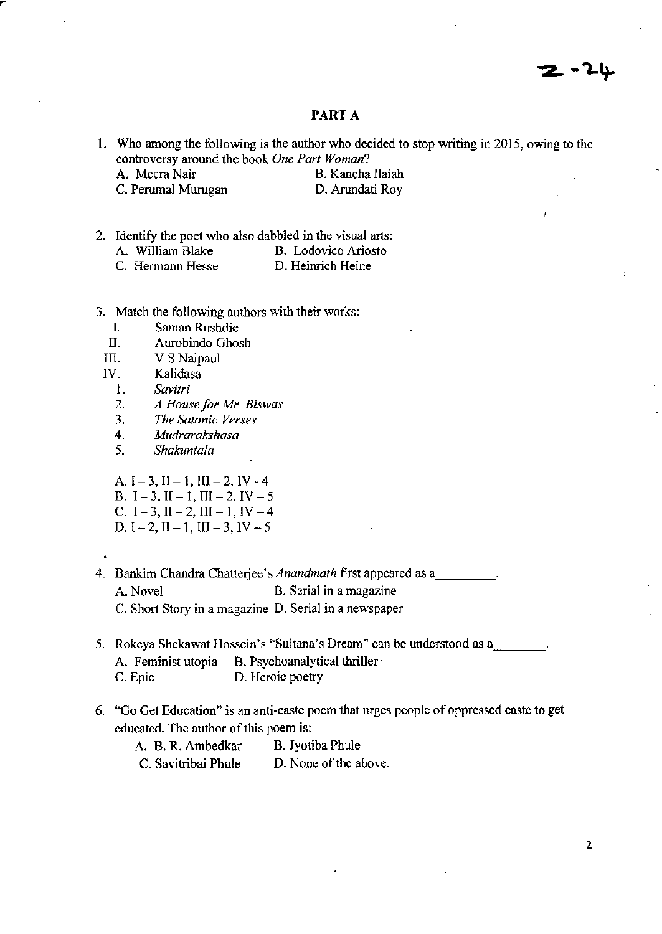# PART A

- 1. Who among the following is the author who decided to stop writing in 2015, owing to the controversy around the book *One Part Woman?* 
	- A. Meera Nair B. Kancha Ilaiah C. Perumal Murugan D. Arundati Roy
- 2. Identify the poet who also dabbled in the visual arts:<br>A. William Blake B. Lodovico Ariosto
	- B. Lodovico Ariosto<br>D. Heinrich Heine
	- C. Hermann Hesse
- 3. Match the following authors with their works:
	- 1. Saman Rushdie<br>II. Aurobindo Ghos
	- Aurobindo Ghosh
	- III. V S Naipaul
	- IV. Kalidasa
		- *1. Savitri*
		- *2. A House for Mr. Biswas*
		- *3. The Satanic Verses*
		- *4. Mudrarakshasa*
		- *5. Shakuntala*

A.  $I-3$ ,  $II-1$ ,  $III-2$ ,  $IV-4$ B.  $I - 3$ ,  $II - 1$ ,  $III - 2$ ,  $IV - 5$ C.  $I - 3$ ,  $II - 2$ ,  $III - 1$ ,  $IV - 4$ D.  $I - 2$ ,  $II - 1$ ,  $III - 3$ ,  $IV - 5$ 

- 
- 4. Bankim Chandra Chatterjee's *Anandmath* first appeared as a A. Novel B. Serial in a magazine C. Short Story in a magazine D. Serial in a newspaper
- 5. Rokeya Shekawat Hossein's "Sultana's Dream" can be understood as a. \_\_\_ \_ B. Psychoanalytical thriller: C. Epic D. Heroic poetry
- 6. "Go Get Education" is an anti-caste poem that urges people of oppressed caste to get educated. The author of this poem is:

| A. B. R. Ambedkar   | B. Jyotiba Phule      |
|---------------------|-----------------------|
| C. Savitribai Phule | D. None of the above. |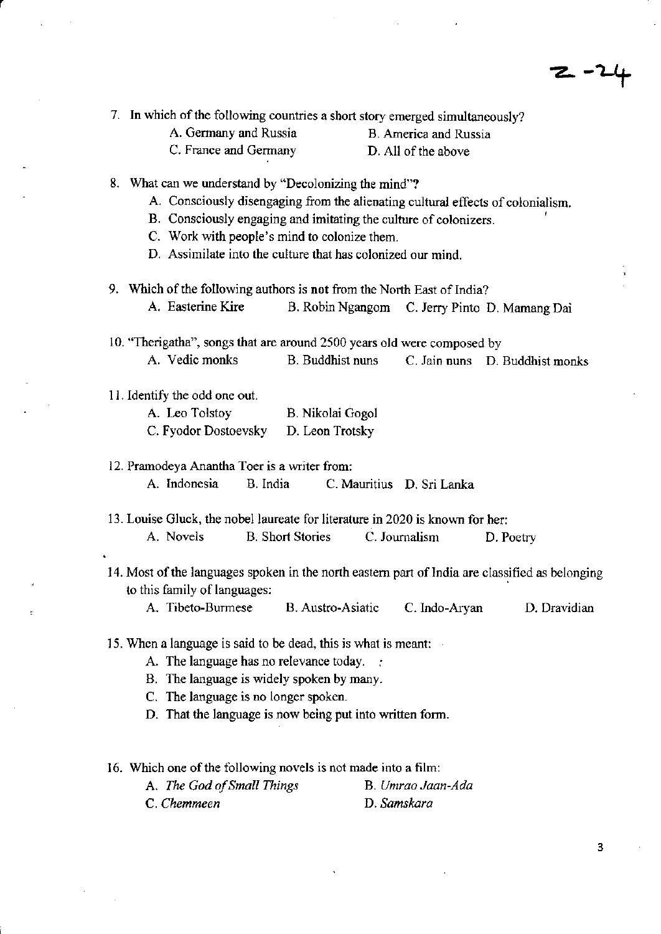$2 - 21$ 

|                       | 7. In which of the following countries a short story emerged simultaneously? |
|-----------------------|------------------------------------------------------------------------------|
| A. Germany and Russia | B. America and Russia                                                        |

r

C. France and Germany D. All of the above

- 8. What can we understand by "Decolonizing the mind"?
	- A Consciously disengaging from the alienating cultural effects of colonialism.
	- B. Consciously engaging and imitating the culture of colonizers. ,
	- c. Work \Vith people's mind to colonize them.
	- D. Assimilate into the culture that has colonized our mind.
- 9. Which of the following authors is **not** from the North East of India? A. Easterine Kire B. Robin Ngangom C. Jerry Pinto D. Mamang *Dai*

10. "Therigatha", songs that are around 2500 years old were composed by

A. Vedic monks B. Buddhist nuns C. Jain nuns D. Buddhist monks

II. Identify the odd one out.

| A. Leo Tolstoy       | B. Nikolai Gogol |
|----------------------|------------------|
| C. Fyodor Dostoevsky | D. Leon Trotsky  |

12. Pramodeya Anantha Toer is a writer from:

A. Indonesia B. India C. Mauritius D. Sri Lanka

13. Louise Gluck, the nobel laureate for literature in 2020 is known for her: A. Novels B. Short Stories C. Journalism D. Poetry

14. Most of the languages spoken in the north eastern part of India are classified as belonging to this family of languages:

A. Tibeta-Burmese B. Austro-Asiatic C. Indo-Aryan D. Dravidian

- 15. When a language is said to be dead, this is what is meant:
	- A. The language has no relevance today.
	- B. The language is widely spoken by many.
	- C. The language is no longer spoken.
	- D. That the language is now being put into written form.

16. Which one of the following novels is not made into a film:

| A. The God of Small Things | B. Umrao Jaan-Ada |
|----------------------------|-------------------|
| C. Chemmeen                | D. Samskara       |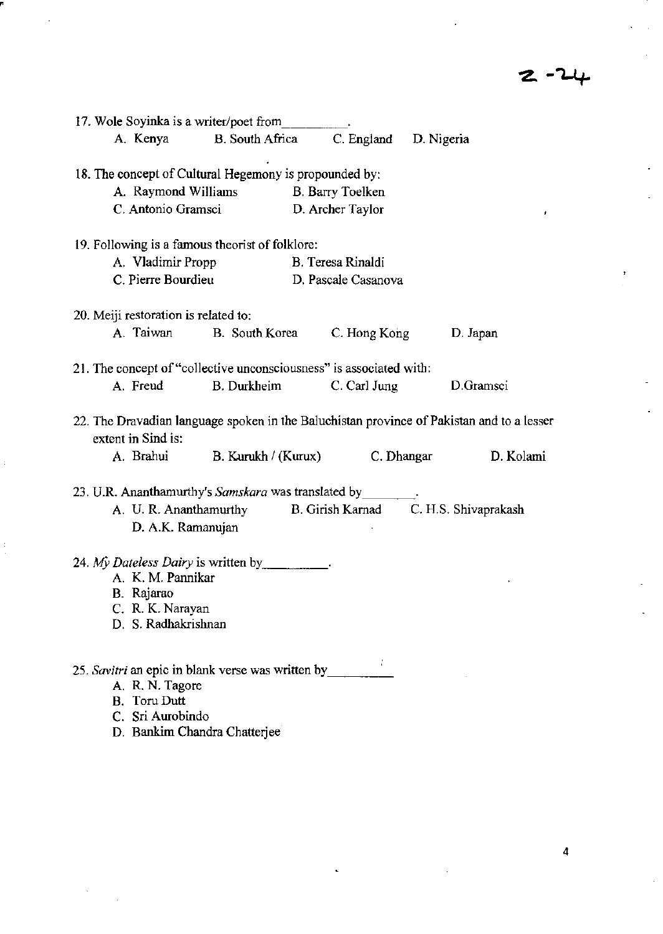$\bar{t}$ 

| 17. Wole Soyinka is a writer/poet from                                                                                                          |                     |                                      |                                                                                                        |
|-------------------------------------------------------------------------------------------------------------------------------------------------|---------------------|--------------------------------------|--------------------------------------------------------------------------------------------------------|
| A. Kenya                                                                                                                                        | B. South Africa     | C. England D. Nigeria                |                                                                                                        |
| 18. The concept of Cultural Hegemony is propounded by:<br>A. Raymond Williams<br>C. Antonio Gramsci                                             |                     | B. Barry Toelken<br>D. Archer Taylor |                                                                                                        |
| 19. Following is a famous theorist of folklore:                                                                                                 |                     |                                      |                                                                                                        |
| A. Vladimir Propp                                                                                                                               |                     | B. Teresa Rinaldi                    |                                                                                                        |
| C. Pierre Bourdieu                                                                                                                              |                     | D. Pascale Casanova                  |                                                                                                        |
| 20. Meiji restoration is related to:                                                                                                            |                     |                                      |                                                                                                        |
| A. Taiwan                                                                                                                                       | B. South Korea      | C. Hong Kong                         | D. Japan                                                                                               |
| 21. The concept of "collective unconsciousness" is associated with:                                                                             |                     |                                      |                                                                                                        |
| A. Freud                                                                                                                                        | <b>B.</b> Durkheim  | C. Carl Jung                         | D.Gramsci                                                                                              |
| extent in Sind is:<br>A. Brahui                                                                                                                 | B. Kurukh / (Kurux) | C. Dhangar                           | 22. The Dravadian language spoken in the Baluchistan province of Pakistan and to a lesser<br>D. Kolami |
| 23. U.R. Ananthamurthy's Samskara was translated by<br>A. U. R. Ananthamurthy<br>D. A.K. Ramanujan                                              |                     | B. Girish Karnad                     | C. H.S. Shivaprakash                                                                                   |
| 24. My Dateless Dairy is written by<br>A. K. M. Pannikar<br>B. Rajarao<br>C. R. K. Narayan<br>D. S. Radhakrishnan                               |                     |                                      |                                                                                                        |
| 25. Savitri an epic in blank verse was written by<br>A. R. N. Tagore<br><b>B.</b> Toru Dutt<br>C. Sri Aurobindo<br>D. Bankim Chandra Chatterjee |                     |                                      |                                                                                                        |

"

 $\frac{1}{2}$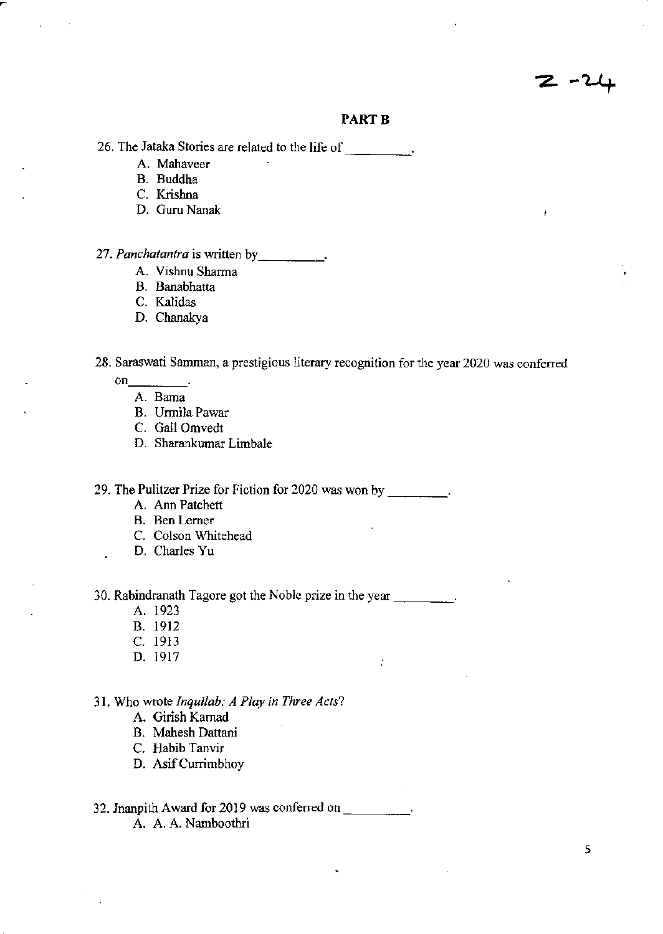### **PART B**

26. The Jataka Stories are related to the life of \_\_\_\_\_\_\_\_\_\_.

- **A. Mahaveer**
- B, Buddha
- C, Krishna
- D, Guru Nanak

## *27. Panchatantra* **is written** by \_\_\_\_\_ ,

- **A. Vishnu Sharma**
- B, Banabhatta
- C, Kalidas
- D. Chanakya

**28. Saraswati Samman, a prestigious literary recognition for the year 2020** *was* **conferred** 

 $\ddot{\cdot}$ 

- on  $\qquad$ .
	- **A. Barna**
	- **B. Unnila Pawar**
	- C, Gail Omvedt
	- D, Sharankumar Limbale

**29. The Pulitzer Prize for Fiction for 2020 was won by** \_\_\_ \_

- A. Ann Patchett
- **B. Ben Lerner**
- **C. Colson Whitehead**
- D, Charles Yu

**30. Rabindranath Tagore got the Noble prize in the year** \_\_\_ \_

- A. 1923
- B, 1912
- C, 1913
- D, 1917

#### 31, Who wrote *Inquilab: A Play in Three Acts?*

- A, Girish Kamad
- B, Mahesh Dattani
- **C. Habib Tanvir**
- D. Asif Currimbhoy

## 32. Jnanpith Award for 2019 was conferred on \_\_\_\_\_\_\_\_\_\_.

A. A, A. Narnboothri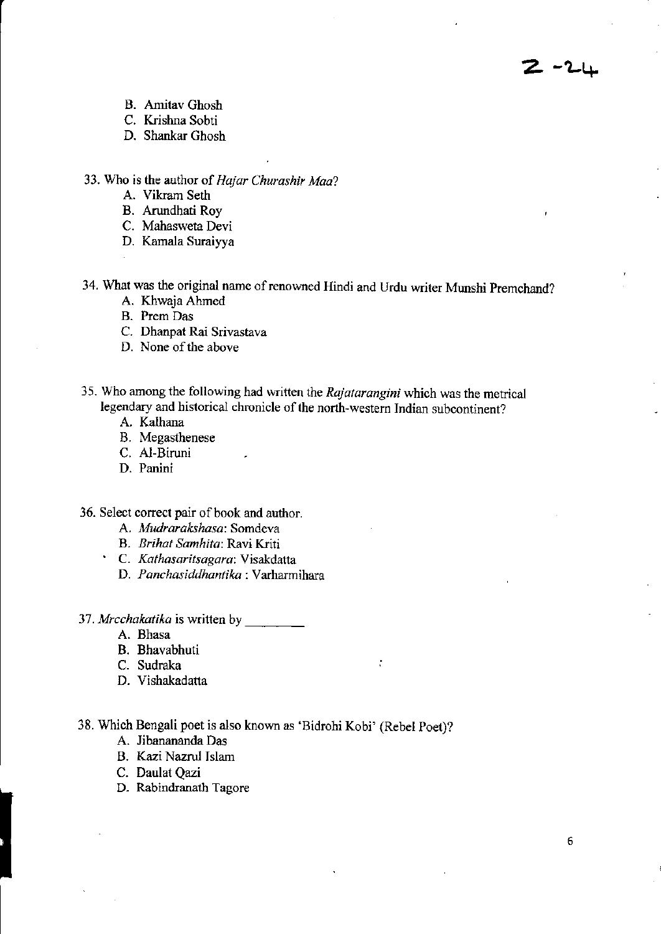ساسة - 2

- B. Amitav Ghosh
- C. Krishna Sobti
- D. Shankar Ghosh

**33. Who is the author of** *Hajar Churashir Maa?* 

- A. Vikram Seth
- B. Arundhati Roy
- **C. Mahasweta Devi**
- **D. Kamala Suraiyya**

**34. What was the original name of renowned Hindi and Urdu writer Munshi Premchand?** 

- A. Khwaja Ahmed
- **B. Prem Das**
- **C. Dhanpat Rai Srivastava**
- **D. None** of the **above**
- **35. Who among the following had written the Rajafarangini which was the metrical legendary and historical chronicle of the north·westem Indian subcontinent?** 
	- A. Kalhana
	- **B. Megasthenese**
	- C. Al-Biruni
	- **D. Panini**

**36. Select correct pair** of book **and author.** 

- **A.** *Mudrarakshasa:* **Somdeva**
- **B.** *Erthat Samhita:* **Ravi Kriti**
- **C.** *Kathasaritsagara:* **Visakdatta** 
	- **D.** *Panchasiddhantika:* **Varharmihara**
- *37. Mrcchakatika* **is written by** \_\_\_ \_
	- **A. Bhasa**
	- B. Bhavabhuti
	- C. Sudraka
	- D. Vishakadatta
- 38. Which Bengali poet is also known as 'Bidrohi Kobi' (Rebel Poet)?

 $\ddot{\cdot}$ 

- A. Iibanananda Das
- B. Kazi Nazrul Islam
- C. Daulat Qazi
- **D. Rabindranath Tagore**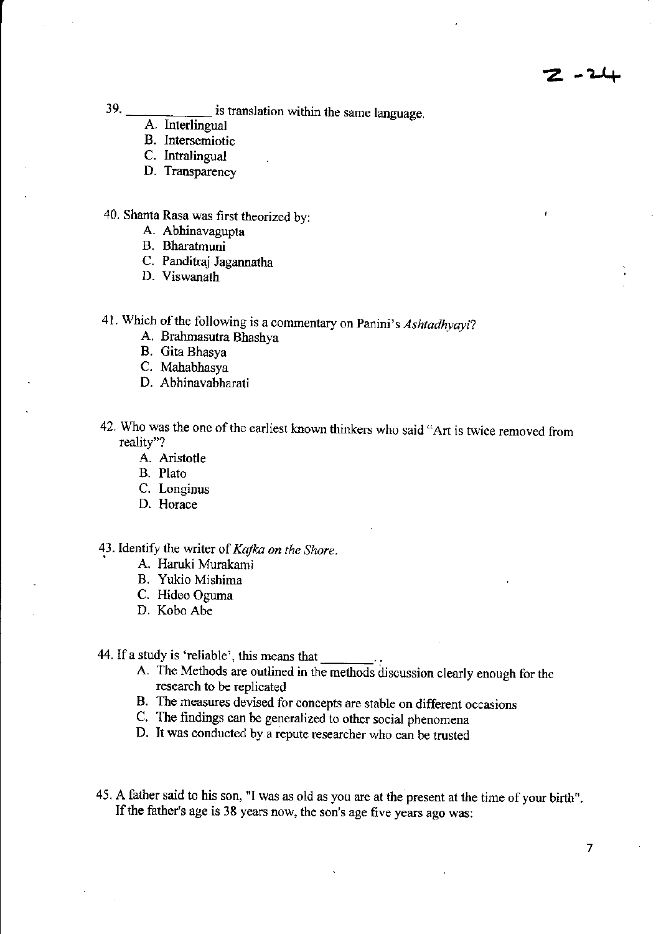39. \_\_\_\_\_\_\_\_\_\_\_\_\_\_ is translation within the same language.

- A. interlingual
- B. Intersemiotic
- C. Intralingual
- D. Transparency

40. Shanta Rasa was first theorized by:

- A. Abhinavagupta
- B. Bharatmuni
- C. Panditraj Jagannatha
- D. Viswanath
- 41. Which of the following is a commentary on Panini's *Ashtadhyayi?* 
	- A. Brahmasutra Bhashya
	- B. Gita Bhasya
	- C. Mahabhasya
	- D. Abhinavabharati
- 42. Who was the one of the earliest known thinkers who said "Art is twice removed from reality"?
	- A. Aristotle
	- B. Plato
	- C. Longinus
	- D. Horace

## 43. Identify the writer of *Kafka on the Shore.*

- A. Haruki Murakami
- B. Yukio Mishima
- C. Hideo Oguma
- D. Kobo Abe

44. If a study is 'reliable', this means that

- A. The Methods are outlined in the methods discussion clearly enough for the research to be replicated
- B. The measures devised for concepts are stable on different occasions
- C. The findings can be generalized to other social phenomena
- D. It was conducted by a repute researcher who can be trusted
- 45. A father said to his son, "I was as old as you are at the present at the time of your birth", If the father's age is 38 years now, the son's age five years ago was: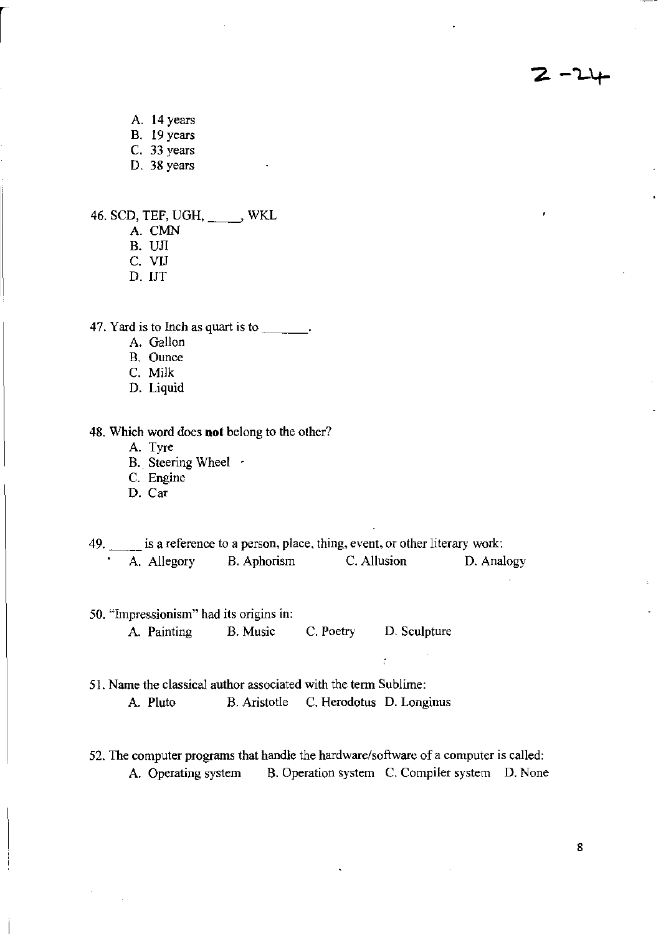A. 14 years

- B. 19 years
- C. 33 years

D. 38 years

- 46. SCD, TEF, UGH, \_\_\_\_\_, WKL
	- A. CMN
	- B. UJI
	- C. ViJ
	- D. lJT

47. Yard is to Inch as quart is to  $\frac{1}{\sqrt{1-\frac{1}{\sqrt{1-\frac{1}{\sqrt{1-\frac{1}{\sqrt{1-\frac{1}{\sqrt{1-\frac{1}{\sqrt{1-\frac{1}{\sqrt{1-\frac{1}{\sqrt{1-\frac{1}{\sqrt{1-\frac{1}{\sqrt{1-\frac{1}{\sqrt{1-\frac{1}{\sqrt{1-\frac{1}{\sqrt{1-\frac{1}{\sqrt{1-\frac{1}{\sqrt{1-\frac{1}{\sqrt{1-\frac{1}{\sqrt{1-\frac{1}{\sqrt{1-\frac{1}{\sqrt{1-\frac{1}{\sqrt{1-\frac{1}{$ 

- A. Gallon
- B. Ounce
- C. Milk
- D. Liquid

48. Which word does **not** belong to the other?

- A. Tyre
- B. Steering Wheel  $\cdot$
- C. Engine
- D. Car
- is a reference to a person, place, thing, event, or other literary work:<br>A. Allegory B. Aphorism C. Allusion D. Analogy B. Aphorism
- 50. "Impressionism" had its origins in: A. Painting B. Music C. Poetry D. Sculpture
- 51. Name the classical author associated with the term Sublime: A. Pluto B. Aristotle C. Herodotus D. Longinus
- 52. The computer programs that handle the hardware/software of a computer is called: A. Operating system B. Operation system C. Compiler system D. None

 $\ddot{\cdot}$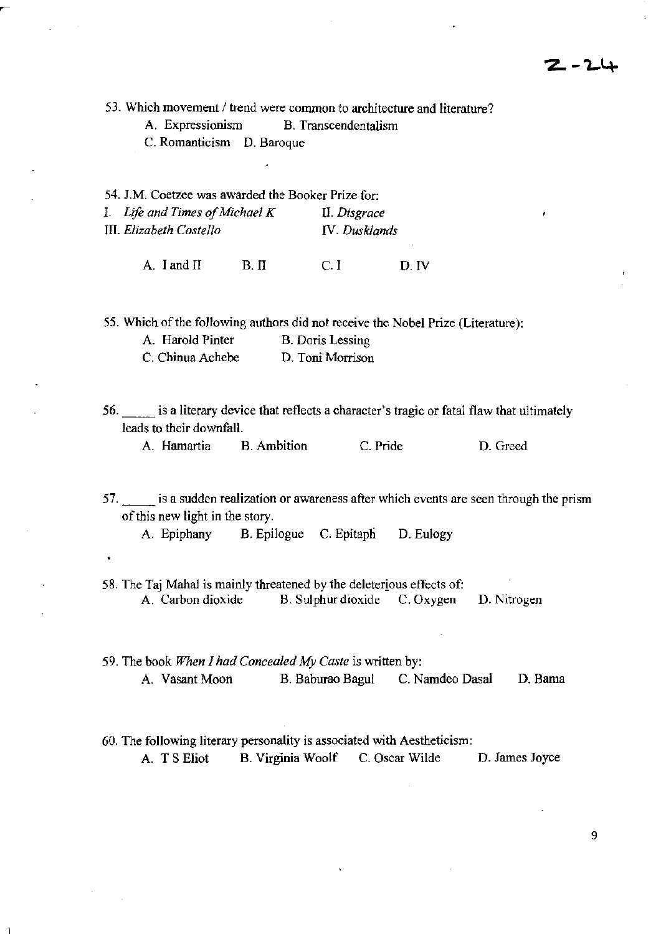53. Which movement / trend were common to architecture and literature?

A. Expressionism B. Transcendentalism

C. Romanticism D. Baroque

54. I.M. Coetzee was awarded the Booker Prize for: 1. *Life and Times of Michael K* II. *Disgrace*  III. *Elizabeth CosteI/o* IV. *Dusldands* 

A. I and II B. II C. I D. IV

55. Which of the following authors did not receive the Nobel Prize (Literature):

| A. Harold Pinter | B. Doris Lessing |
|------------------|------------------|
| C. Chinua Achebe | D. Toni Morrison |

56. \_\_ is a literary device that reflects a character's tragic or fatal flaw that ultimately leads to their downfall.

A. Hamartia B. Ambition C. Pride D. Greed

57. \_\_ is a sudden realization or awareness after which events are seen through the prism of this new light in the story.

A. Epiphany B. Epilogue C. Epitaph D. Eulogy

- 58. The Taj Mahal is mainly threatened by the deleterious effects of: A. Carbon dioxide B. Sulphur dioxide C. Oxygen D. Nitrogen
- 59. The book *When 1 had Concealed My Caste* is written by: A. Vasant Moon B. Baburao Bagul C. Namdeo Dasal D. Bama
- 60. The following literary personality is associated with Aestheticism: A. T S Eliot B. Virginia Woolf C. Oscar Wilde D. James Joyce

9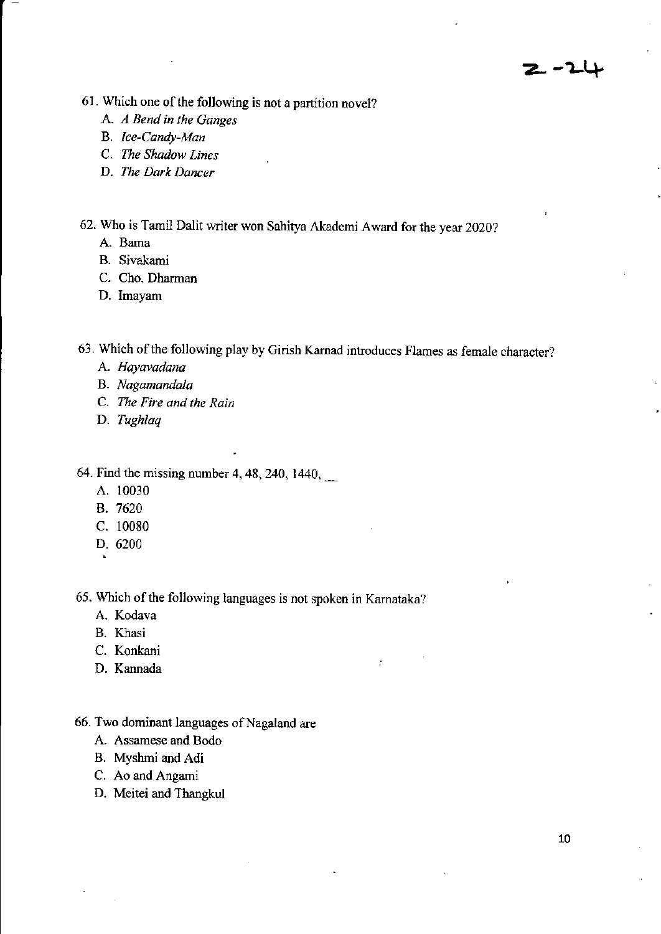- **61. Which one** of the **following is not a partition novel?** 
	- A. *A Bend in the Ganges*
	- **B.** *Ice-Candy-Man*
	- **C.** *The Shadow Lines*
	- **D.** *The Dark Dancer*
- **62. Who is Tamil Dalit writer won Sahitya Akademi Award for the year 2020?** 
	- **A. Barna**
	- **B. Sivakami**
	- C. Cho. Dharman
	- **D. Imayam**

**63. Which** of the **following play by Girish Kamad introduces Flames as female character?** 

 $\tilde{t}$ 

- **A.** *Hayavadana*
- **B.** *Nagamandala*
- **C.** *The Fire and the Rain*
- D. *Tughlaq*

64. Find the missing number 4, 48, 240, 1440,\_

- A. 10030
- B. 7620
- C. 10080
- D. 6200

**65. Which** of the **following languages is not spoken in Karnataka?** 

- A. **Kodava**
- B. Khasi
- C. Konkani
- D. Kannada
- **66. Two dominant languages ofNagaland are** 
	- A. **Assamese and Bodo**
	- B. Myshmi and Adi
	- C. Ao and Angami
	- D. Meitei and Thangkul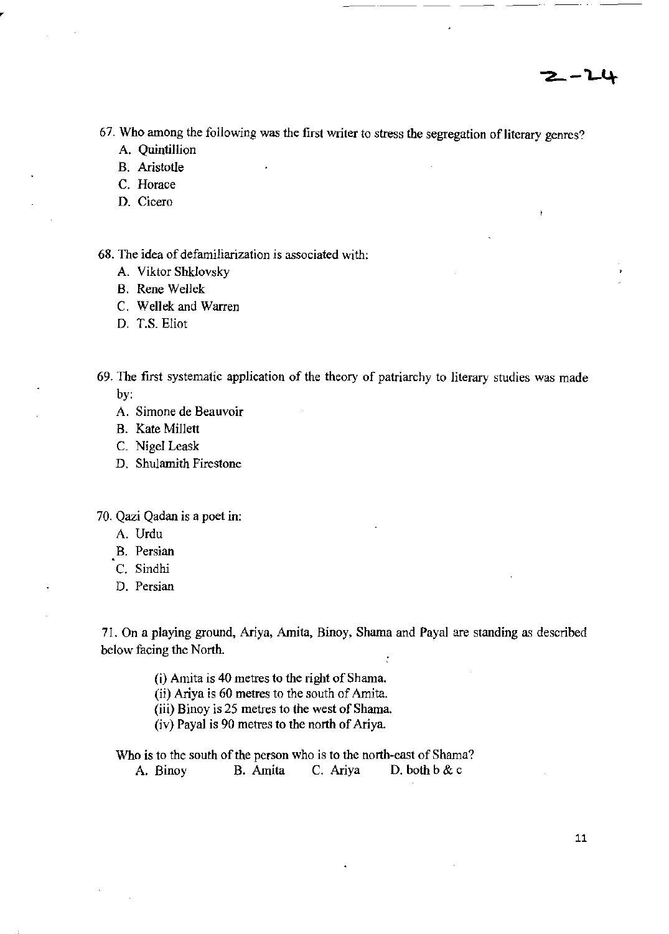ł

**67. Who among the following was the first writer to stress the segregation** of literary **genres?** 

--'--

- A. Quintillion
- **B. Aristotle**
- **C. Horace**
- **D. Cicero**
- **68. The idea of defamiliarization is associated with:** 
	- A. Viktor Shklovsky
	- B. Rene Wellek
	- C. Wellek and Warren
	- D. T.S, Eliot
- **69. The first systematic application of the theory of patriarchy to literary studies was made**  by:
	- **A. Simone de Beauvoir**
	- B. Kate Millett
	- C. Nigel Leask
	- **D. Shulamith Firestone**
- **70. Qazi Qadan is a poet in:** 
	- A. Urdu
	- **B. Persian**
	- C. Sindhi
	- **D. Persian**

71. On a playing ground, Ariya, Amita, Binoy, Shama and Payal are standing as described **below facing the North.**  ÷

(i) Amita is 40 metres to the right of Shama.

**(ii) Ariya is 60 metres to the south of Amita.** 

**(iii) Binoy is 25 metres to the west of Shama.** 

(iv) Payal is 90 metres to the north of Ariya.

**Who is to the south of the person who is to the north-east of Shama?**  A. Binoy B. Amita C. Ariya D. both b & c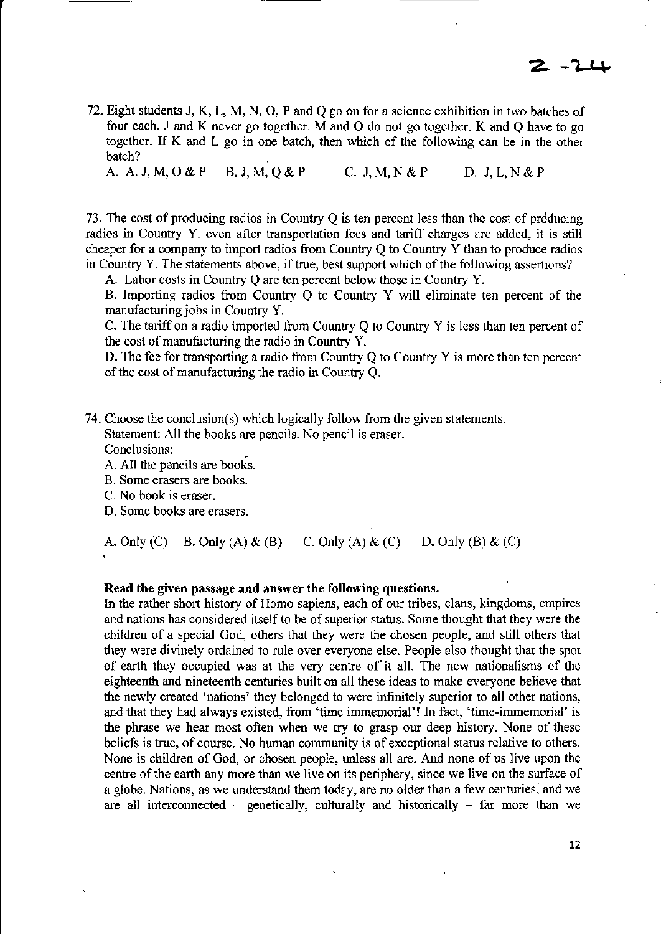72. Eight students J, K, L, M, N, 0, P and Q go on for a science exhibition in two batches of four each. J and K never go together. M and 0 do not go together. K and Q have to go together. If K and L go in one batch, then which of the following can be in the other batch?

A. A.J,M,O&P B.J,M,Q&P C. J,M,N&P D. J,L,N&P

73. The cost of producing radios in Country  $Q$  is ten percent less than the cost of producing radios in Country Y. even after transportation fees and tariff charges are added, it is still cheaper for a company to import radios from Country Q to Country Y than to produce radios in Country Y. The statements above, if true, best support which of the following assertions?

A. Labor costs in Country Q are ten percent below those in Country Y.

B. Importing radios from Country Q to Country Y will eliminate ten percent of the manufacturing jobs in Country Y.

C. The tariff on a radio imported from Country Q to Country Y is less than ten percent of the cost of manufacturing the radio in Country Y.

D. The fee for transporting a radio from Country Q to Country Y is more than ten percent of the cost of manufacturing the radio in Country Q.

- 74. Choose the conclusion(s) which logically follow from the given statements. Statement: All the books are pencils. No pencil is eraser.
	- Conclusions:
	- A. All the pencils are books.
	- B. Some erasers are books.
	- C. No book is eraser.
	- D. Some books are erasers.

A. Only (C) B. Only (A) & (B) C. Only (A) & (C) D. Only (B) & (C)

#### Read the given passage and answer the following questions.

In the rather short history of Homo sapiens, each of our tribes, clans, kingdoms, empires and nations has considered itself to be of superior status. Some thought that they were the children of a special God, others that they were the chosen people, and still others that they were divinely ordained to rule over everyone else. People also thought that the spot of earth they occupied was at the very centre of it all. The new nationalisms of the eighteenth and nineteenth centuries built on all these ideas to make everyone believe that the newly created 'nations' they belonged to were infinitely superior to all other nations, and that they had always existed, from 'time immemorial'! In fact, 'time-immemorial' is the phrase we hear most often when we try to grasp our deep history. None of these beliefs is true, of course. No human community is of exceptional status relative to others. None is children of God, or chosen people, unless all are. And none of us live upon the centre of the earth any more than we live on its periphery, since we live on the surface of a globe. Nations, as we understand them today, are no older than a few centuries, and we are all interconnected  $-$  genetically, culturally and historically  $-$  far more than we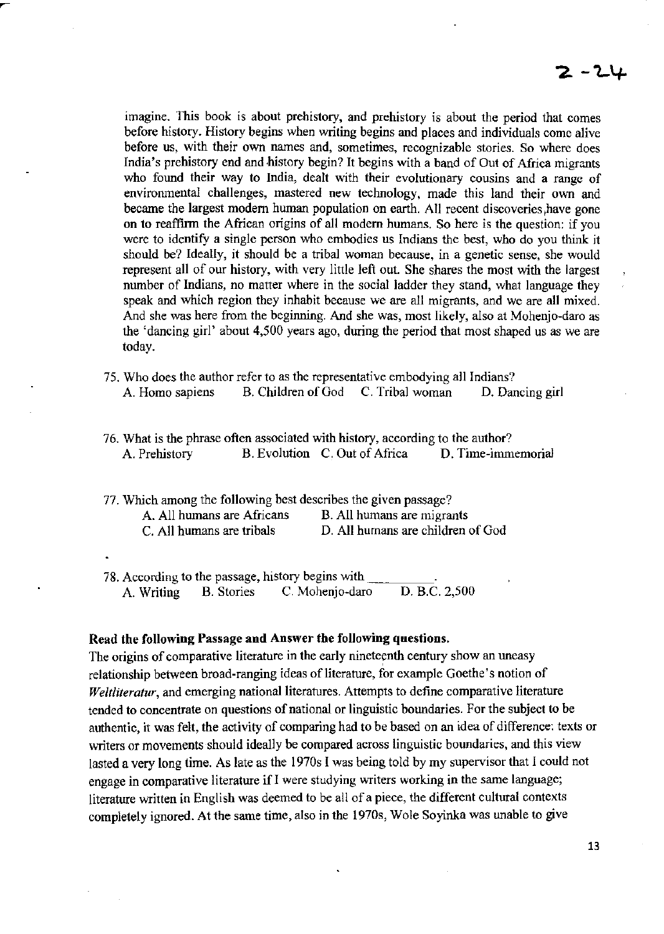imagine. This book is about prehistory, and prehistory is about the period that comes before history. History begins when writing begins and places and individuals come alive before us, with their own names and, sometimes, recognizable stories. So where does India's prehistory end and history begin? It begins with a band of Out of Africa migrants who found their way to India, dealt with their evolutionary cousins and a range of environmental challenges, mastered new technology, made this land their own and became the largest modern human population on earth. All recent discoveries, have gone on to reaffinn the African origins of all modem humans. So here is the question: if you were to identify a single person who embodies us Indians the best, who do you think it should be? Ideally, it should be a tribal woman because, in a genetic sense, she would represent all of our history, with very little left out. She shares the most with the largest number of Indians, no matter where in the social ladder they stand, what language they speak and which region they inhabit because we are all migrants, and we are all mixed. And she was here from the beginning. And she was, most likely, also at Mohenjo-daro as the 'dancing girl' about 4,500 years ago, during the period that most shaped us as we are today.

- 75. Who does the author refer to as the representative embodying all Indians? A. Homo sapiens B. Children of God C. Tribal woman D. Dancing girl
- 76. What is the phrase often associated with history, according to the author? A. Prehistory B. Evolution C. Out of Africa D. Time-immemorial

| 77. Which among the following best describes the given passage? |                                   |  |
|-----------------------------------------------------------------|-----------------------------------|--|
| A. All humans are Africans                                      | B. All humans are migrants        |  |
| C. All humans are tribals                                       | D. All humans are children of God |  |

78. According to the passage, history begins with \_\_\_\_\_\_\_\_\_\_\_.<br>A. Writing B. Stories C. Mohenjo-daro D. B.C. 2,500 A. Writing B. Stories C. Mohenjo-daro

#### Read the following Passage and Answer the following questions.

The origins of comparative literature in the early nineteenth century show an uneasy relationship between broad-ranging ideas of literature, for example Goethe's notion of *Weltliteratur.* and emerging national literatures. Attempts to define comparative literature tended to concentrate on questions of national or linguistic boundaries. For the subject to be authentic, it was felt, the activity of comparing had to be based on an idea of difference: texts or writers or movements should ideally be compared across linguistic boundaries, and this view lasted a very long time. As late as the 1970s I was being told by my supervisor that I could not engage in comparative literature if I were studying writers working in the same language; literature written in English was deemed to be all of a piece, the different cultural contexts completely ignored. At the same time, also in the 1970s, Wole Soyinka was unable to give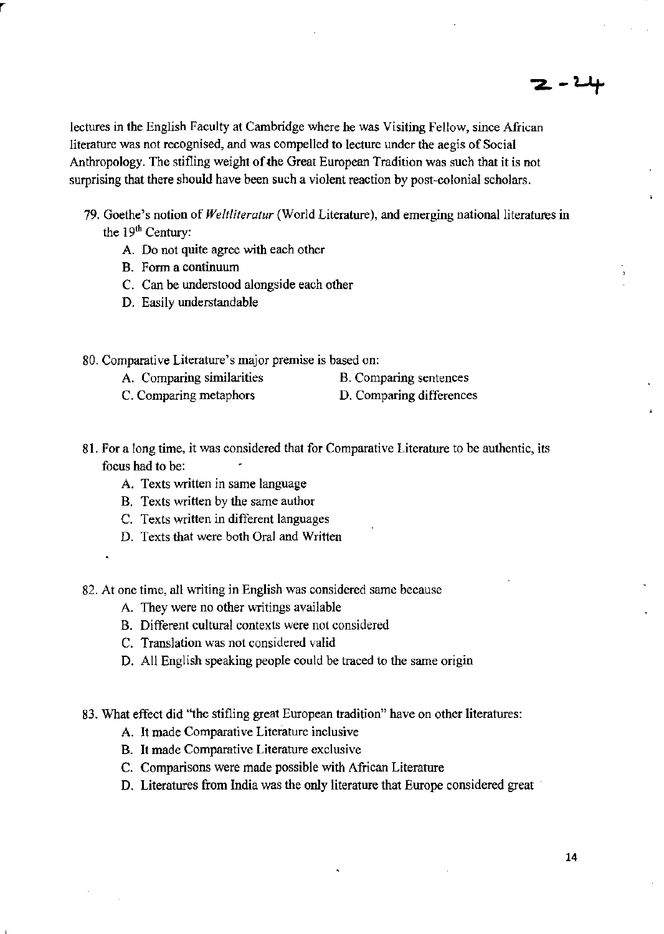lectures in the English Faculty at Cambridge where he was Visiting Fellow, since African literature was not recognised, and was compelled to lecture under the aegis of Social Anthropology. The stifling weight of the Great European Tradition was such that it is not surprising that there should have been such a violent reaction by post-colonial scholars.

- 79. Goethe's notion of *Weltliteratur* (World Literature), and emerging national literatures in the 19<sup>th</sup> Century:
	- A. Do not quite agree with each other
	- B. Form a continuum
	- C. Can be understood alongside each other
	- D. Easily understandable
- 80. Comparative Literature's major premise is based on:
	- A. Comparing similarities
- B. Comparing sentences
- C. Comparing metaphors D. Comparing differences
- 81. For a long time, it was considered that for Comparative Literature to be authentic, its focus had to be:
	- A. Texts written in same language
	- B. Texts written by the same author
	- C. Texts written in different languages
	- D. Texts that were both Oral and Written
	-

r

82. At one time, all writing in English was considered same because

- A. They were no other writings available
- B. Different cultural contexts were not considered
- C. Translation was not considered valid
- D. AU English speaking people could be traced to the same origin
- 83. What effect did ''the stifling great European tradition" have on other literatures:
	- A. It made Comparative Literature inclusive
	- B. It made Comparative Literature exclusive
	- C. Comparisons were made possible with African Literature
	- D. Literatures from India was the only literature that Europe considered great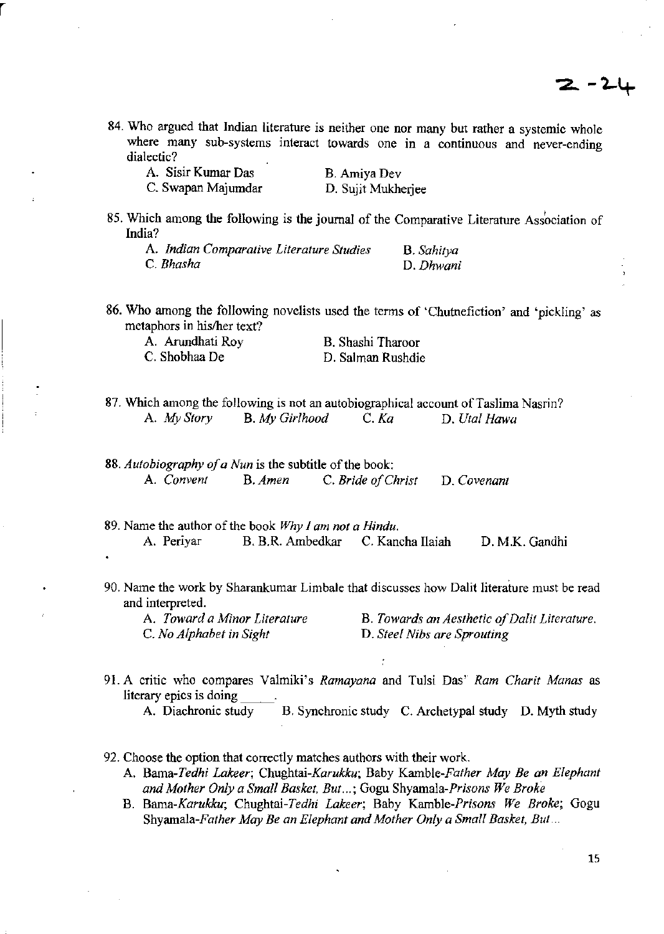2. – 2-l

**84. Who argued that Indian literature is neither one nor many but rather a systemic whole where many sub-systems interact towards one in a continuous and never-ending dialectic?** 

| A. Sisir Kumar Das | B. Amiya Dev       |
|--------------------|--------------------|
| C. Swapan Majumdar | D. Sujit Mukherjee |

r

**85. Which among the following is the journal of the Comparative Literature Association of India?** 

| A. Indian Comparative Literature Studies | B. Sahitya |
|------------------------------------------|------------|
| C. Bhasha                                | D. Dhwani  |

**86. Who among the following novelists used the terms of 'Chutnefiction' and 'pickling' as metaphors in his/her text?** 

| A. Arundhati Roy | B. Shashi Tharoor |
|------------------|-------------------|
| C. Shobhaa De    | D. Salman Rushdie |

**87. Which among the following is not an autobiographical account** of Taslima **Nasrin?**  A. *My Story* B. *My Girlhood* C. *Ka* D. *Utal Hawa* 

*88. Autobiography of a Nun* **is the subtitle** of the **book: A.** *Convent* **B.** *Amen* **C.** *Bride o/Christ* **D.** *Covenanl* 

- **89. Name the author** of the **book** *Why 1 am not a Hindu.*  A. Periyar B. B.R. Ambedkar C. Kancha Ilaiah D. M.K. Gandhi
- **90. Name the work by Sharankumar Limbale that discusses how Dalit literature must be read and interpreted.**

A *T award a Minor Literature*  C. *No Alphabet in Sight* 

**B.** *Towards an Aesthetic of Dalit Literature.*  **D.** *Steel Nibs arc Sprouting* 

- **91. A critic who compares Valmiki's** *Ramayana* **and Tulsi Das'** *Ram Charit Manas* **as literary epics is doing \_\_\_\_\_.** A. Diachronic study B. Synchronic study C. Archetypal study D. Myth study
- **92. Choose the option that correctly matches authors with their work.** 
	- A. *Bama-Tedhi Lakeer; Chughtai-Karukku;* Baby *Kamble-Father May Be an Elephant and Mother Only a Small Basket, But ... ;* **Gogu** *Shyamala-Prisons We Broke*
	- **B.** *Bama-Karukku; Chughtai-Tedhi Lakeer;* **Baby** *Kamble-Prisons We Broke;* **Gogu**  *Shyamala-Father May Be an Elephant and Mother Only a Small Basket, But* ...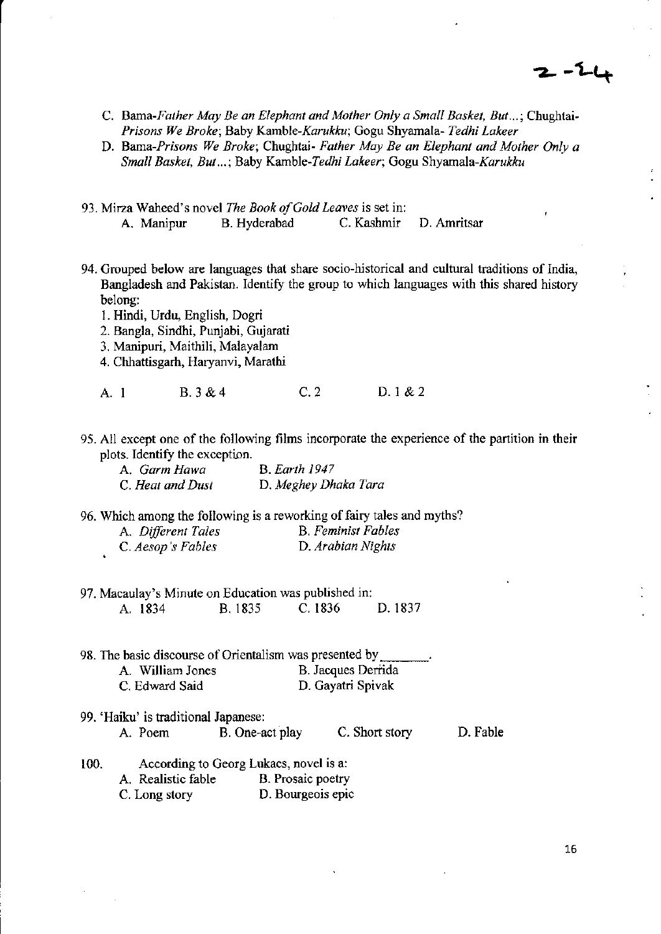2 - 2 i

- C. *Barna-Father May Be an Elephant and Mother Only a Small Basket. But ... ;* Chughtai-*Prisons We Broke;* Baby *Kamble-Karukku;* Gogu Shyarnala- *Tedhi Lakeer*
- D. *Barna-Prisons We Broke;* Chughtai- *Father May Be an Elephant and Mother Only a Small Basket, But ... ;* Baby Kamble-Tedhi *Lakeer;* Gogu *Shyamala-Karukku*
- 93. Mirza Waheed's novel *The Book of Gold Leaves* is set in:<br>A. Manipur B. Hyderabad C. Kashmir A. Manipur B. Hyderabad C. Kashmir D. Amritsar
- 94. Grouped below are languages that share socio-historical and cultural traditions of India, Bangladesh and Pakistan. Identify the group to which languages with this shared history belong:
	- 1. Hindi, Urdu, English, Dogri
	- 2. BangIa, Sindhi, Punjabi, Gujarati
	- 3. Manipuri, Maithili, Malayalam
	- 4. Chhattisgarh, Haryanvi, Marathi

A. 1 B. 3 & 4 C. 2 D. 1 & 2

95. All except one of the following films incorporate the experience of the partition in their plots. Identify the exception.

| A. Garm Hawa     | <b>B.</b> Earth 1947 |
|------------------|----------------------|
| C. Heat and Dust | D. Meghey Dhaka Tara |

96. Which among the following is a reworking of fairy tales and myths?

| A. Different Tales | <b>B.</b> Feminist Fables |
|--------------------|---------------------------|
| C. Aesop's Fables  | D. Arabian Nights         |

97. Macaulay's Minute on Education was published in: A. 1834 B. 1835 C.1836 D.1837

98. The basic discourse of Orientalism was presented by <br>A. William Jones B. Jacques Derri B. Jacques Derrida C. Edward Said D. Gayatri Spivak

- 99. 'Haiku' is traditional Japanese: A. Poem B. One-act play C. Short story D. Fable
- 100. According to Georg Lukacs, novel is a:<br>A. Realistic fable B. Prosaic poetry A. Realistic fable C. Long story D. Bourgeois epic